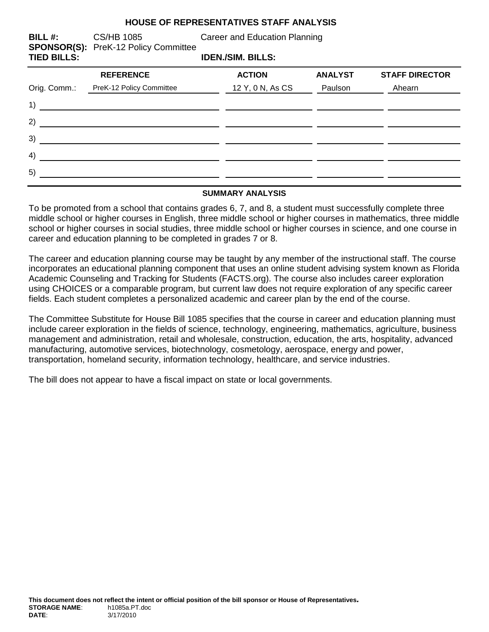#### **HOUSE OF REPRESENTATIVES STAFF ANALYSIS**

**SPONSOR(S):** PreK-12 Policy Committee

**BILL #:** CS/HB 1085 Career and Education Planning

**TIED BILLS: IDEN./SIM. BILLS:**

| <b>REFERENCE</b>         | <b>ACTION</b>    | <b>ANALYST</b> | <b>STAFF DIRECTOR</b> |
|--------------------------|------------------|----------------|-----------------------|
| PreK-12 Policy Committee | 12 Y, 0 N, As CS | Paulson        | Ahearn                |
|                          |                  |                |                       |
|                          |                  |                |                       |
|                          |                  |                |                       |
|                          |                  |                |                       |
|                          |                  |                |                       |
|                          |                  |                |                       |

#### **SUMMARY ANALYSIS**

To be promoted from a school that contains grades 6, 7, and 8, a student must successfully complete three middle school or higher courses in English, three middle school or higher courses in mathematics, three middle school or higher courses in social studies, three middle school or higher courses in science, and one course in career and education planning to be completed in grades 7 or 8.

The career and education planning course may be taught by any member of the instructional staff. The course incorporates an educational planning component that uses an online student advising system known as Florida Academic Counseling and Tracking for Students (FACTS.org). The course also includes career exploration using CHOICES or a comparable program, but current law does not require exploration of any specific career fields. Each student completes a personalized academic and career plan by the end of the course.

The Committee Substitute for House Bill 1085 specifies that the course in career and education planning must include career exploration in the fields of science, technology, engineering, mathematics, agriculture, business management and administration, retail and wholesale, construction, education, the arts, hospitality, advanced manufacturing, automotive services, biotechnology, cosmetology, aerospace, energy and power, transportation, homeland security, information technology, healthcare, and service industries.

The bill does not appear to have a fiscal impact on state or local governments.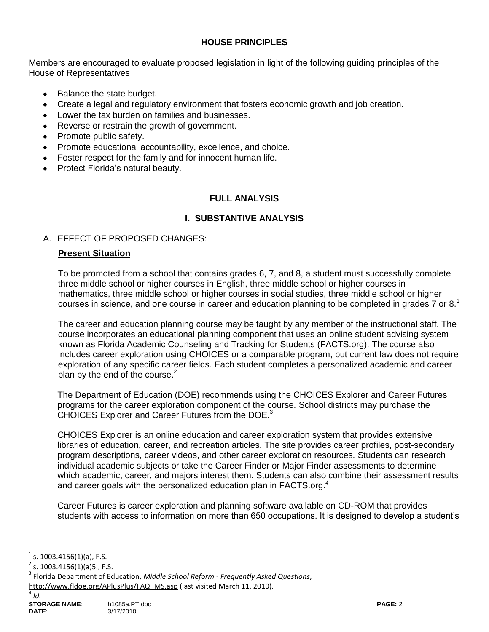# **HOUSE PRINCIPLES**

Members are encouraged to evaluate proposed legislation in light of the following guiding principles of the House of Representatives

- Balance the state budget.
- Create a legal and regulatory environment that fosters economic growth and job creation.
- Lower the tax burden on families and businesses.
- Reverse or restrain the growth of government.
- Promote public safety.
- Promote educational accountability, excellence, and choice.
- Foster respect for the family and for innocent human life.
- Protect Florida's natural beauty.

## **FULL ANALYSIS**

### **I. SUBSTANTIVE ANALYSIS**

### A. EFFECT OF PROPOSED CHANGES:

### **Present Situation**

To be promoted from a school that contains grades 6, 7, and 8, a student must successfully complete three middle school or higher courses in English, three middle school or higher courses in mathematics, three middle school or higher courses in social studies, three middle school or higher courses in science, and one course in career and education planning to be completed in grades 7 or  $8<sup>1</sup>$ 

The career and education planning course may be taught by any member of the instructional staff. The course incorporates an educational planning component that uses an online student advising system known as Florida Academic Counseling and Tracking for Students (FACTS.org). The course also includes career exploration using CHOICES or a comparable program, but current law does not require exploration of any specific career fields. Each student completes a personalized academic and career plan by the end of the course. $2$ 

The Department of Education (DOE) recommends using the CHOICES Explorer and Career Futures programs for the career exploration component of the course. School districts may purchase the CHOICES Explorer and Career Futures from the DOE.<sup>3</sup>

CHOICES Explorer is an online education and career exploration system that provides extensive libraries of education, career, and recreation articles. The site provides career profiles, post-secondary program descriptions, career videos, and other career exploration resources. Students can research individual academic subjects or take the Career Finder or Major Finder assessments to determine which academic, career, and majors interest them. Students can also combine their assessment results and career goals with the personalized education plan in FACTS.org.<sup>4</sup>

Career Futures is career exploration and planning software available on CD-ROM that provides students with access to information on more than 650 occupations. It is designed to develop a student's

a<br>B

<sup>1</sup> s. 1003.4156(1)(a), F.S.

 $2$  s. 1003.4156(1)(a)5., F.S.

<sup>3</sup> Florida Department of Education, *Middle School Reform - Frequently Asked Questions*,

[http://www.fldoe.org/APlusPlus/FAQ\\_MS.asp](http://www.fldoe.org/APlusPlus/FAQ_MS.asp) (last visited March 11, 2010).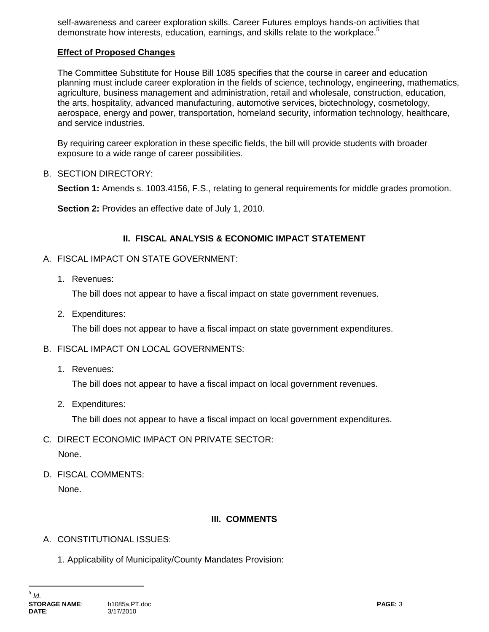self-awareness and career exploration skills. Career Futures employs hands-on activities that demonstrate how interests, education, earnings, and skills relate to the workplace.<sup>5</sup>

## **Effect of Proposed Changes**

The Committee Substitute for House Bill 1085 specifies that the course in career and education planning must include career exploration in the fields of science, technology, engineering, mathematics, agriculture, business management and administration, retail and wholesale, construction, education, the arts, hospitality, advanced manufacturing, automotive services, biotechnology, cosmetology, aerospace, energy and power, transportation, homeland security, information technology, healthcare, and service industries.

By requiring career exploration in these specific fields, the bill will provide students with broader exposure to a wide range of career possibilities.

B. SECTION DIRECTORY:

**Section 1:** Amends s. 1003.4156, F.S., relating to general requirements for middle grades promotion.

**Section 2:** Provides an effective date of July 1, 2010.

### **II. FISCAL ANALYSIS & ECONOMIC IMPACT STATEMENT**

- A. FISCAL IMPACT ON STATE GOVERNMENT:
	- 1. Revenues:

The bill does not appear to have a fiscal impact on state government revenues.

2. Expenditures:

The bill does not appear to have a fiscal impact on state government expenditures.

#### B. FISCAL IMPACT ON LOCAL GOVERNMENTS:

1. Revenues:

The bill does not appear to have a fiscal impact on local government revenues.

2. Expenditures:

The bill does not appear to have a fiscal impact on local government expenditures.

- C. DIRECT ECONOMIC IMPACT ON PRIVATE SECTOR: None.
	-
- D. FISCAL COMMENTS:

None.

### **III. COMMENTS**

- A. CONSTITUTIONAL ISSUES:
	- 1. Applicability of Municipality/County Mandates Provision: